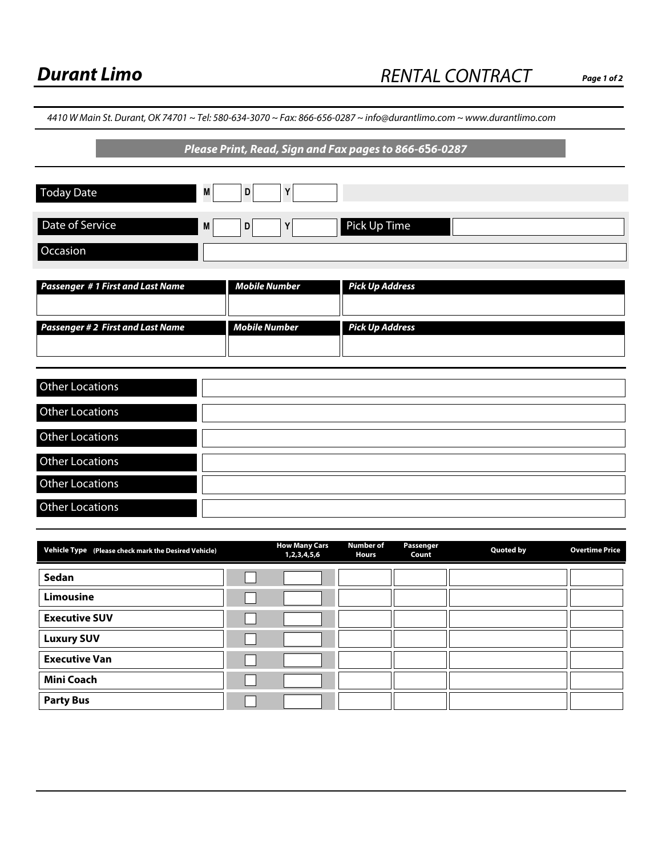**Page 1 of 2**

| 4410 W Main St. Durant, OK 74701 ~ Tel: 580-634-3070 ~ Fax: 866-656-0287 ~ info@durantlimo.com ~ www.durantlimo.com<br>Please Print, Read, Sign and Fax pages to 866-656-0287 |   |                      |                        |  |
|-------------------------------------------------------------------------------------------------------------------------------------------------------------------------------|---|----------------------|------------------------|--|
|                                                                                                                                                                               |   |                      |                        |  |
|                                                                                                                                                                               |   |                      |                        |  |
| Date of Service                                                                                                                                                               | M | D<br>Y               | Pick Up Time           |  |
| Occasion                                                                                                                                                                      |   |                      |                        |  |
|                                                                                                                                                                               |   |                      |                        |  |
| <b>Passenger #1 First and Last Name</b>                                                                                                                                       |   | <b>Mobile Number</b> | <b>Pick Up Address</b> |  |
|                                                                                                                                                                               |   |                      |                        |  |
| <b>Passenger #2 First and Last Name</b>                                                                                                                                       |   | <b>Mobile Number</b> | <b>Pick Up Address</b> |  |
|                                                                                                                                                                               |   |                      |                        |  |
|                                                                                                                                                                               |   |                      |                        |  |
| <b>Other Locations</b>                                                                                                                                                        |   |                      |                        |  |
| <b>Other Locations</b>                                                                                                                                                        |   |                      |                        |  |
| <b>Other Locations</b>                                                                                                                                                        |   |                      |                        |  |
| Other Locations                                                                                                                                                               |   |                      |                        |  |
| Other Locations                                                                                                                                                               |   |                      |                        |  |
| <b>Other Locations</b>                                                                                                                                                        |   |                      |                        |  |

| Vehicle Type (Please check mark the Desired Vehicle) | <b>How Many Cars</b><br>1,2,3,4,5,6 | <b>Number of</b><br><b>Hours</b> | Passenger<br>Count | <b>Quoted by</b> | <b>Overtime Price</b> |
|------------------------------------------------------|-------------------------------------|----------------------------------|--------------------|------------------|-----------------------|
| Sedan                                                | $\blacktriangledown$                |                                  |                    |                  |                       |
| <b>Limousine</b>                                     | $\blacktriangledown$                |                                  |                    |                  |                       |
| <b>Executive SUV</b>                                 | $\blacktriangledown$                |                                  |                    |                  |                       |
| <b>Luxury SUV</b>                                    | $\blacktriangledown$                |                                  |                    |                  |                       |
| <b>Executive Van</b>                                 | $\blacktriangledown$                |                                  |                    |                  |                       |
| <b>Mini Coach</b>                                    | $\blacktriangledown$                |                                  |                    |                  |                       |
| <b>Party Bus</b>                                     | $\blacktriangledown$                |                                  |                    |                  |                       |